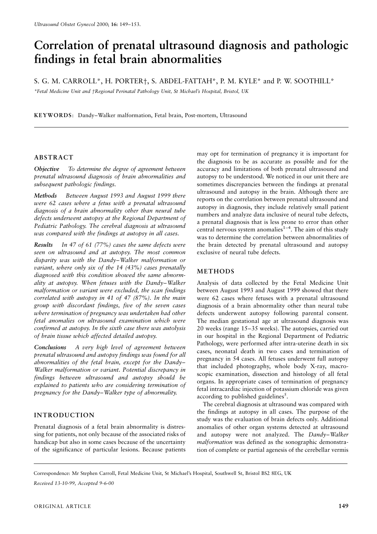# Correlation of prenatal ultrasound diagnosis and pathologic findings in fetal brain abnormalities

S. G. M. CARROLL\*, H. PORTER†, S. ABDEL-FATTAH\*, P. M. KYLE\* and P. W. SOOTHILL\*

\*Fetal Medicine Unit and †Regional Perinatal Pathology Unit, St Michael's Hospital, Bristol, UK

KEYWORDS: Dandy-Walker malformation, Fetal brain, Post-mortem, Ultrasound

## **ABSTRACT**

Objective To determine the degree of agreement between prenatal ultrasound diagnosis of brain abnormalities and subsequent pathologic findings.

Methods Between August 1993 and August 1999 there were 62 cases where a fetus with a prenatal ultrasound diagnosis of a brain abnormality other than neural tube defects underwent autopsy at the Regional Department of Pediatric Pathology. The cerebral diagnosis at ultrasound was compared with the findings at autopsy in all cases.

Results In 47 of 61 (77%) cases the same defects were seen on ultrasound and at autopsy. The most common disparity was with the Dandy-Walker malformation or variant, where only six of the 14 (43%) cases prenatally diagnosed with this condition showed the same abnormality at autopsy. When fetuses with the Dandy-Walker malformation or variant were excluded, the scan findings correlated with autopsy in 41 of 47 (87%). In the main group with discordant findings, five of the seven cases where termination of pregnancy was undertaken had other fetal anomalies on ultrasound examination which were confirmed at autopsy. In the sixth case there was autolysis of brain tissue which affected detailed autopsy.

A very high level of agreement between Conclusions prenatal ultrasound and autopsy findings was found for all abnormalities of the fetal brain, except for the Dandy-Walker malformation or variant. Potential discrepancy in findings between ultrasound and autopsy should be explained to patients who are considering termination of pregnancy for the Dandy-Walker type of abnormality.

## **INTRODUCTION**

Prenatal diagnosis of a fetal brain abnormality is distressing for patients, not only because of the associated risks of handicap but also in some cases because of the uncertainty of the significance of particular lesions. Because patients may opt for termination of pregnancy it is important for the diagnosis to be as accurate as possible and for the accuracy and limitations of both prenatal ultrasound and autopsy to be understood. We noticed in our unit there are sometimes discrepancies between the findings at prenatal ultrasound and autopsy in the brain. Although there are reports on the correlation between prenatal ultrasound and autopsy in diagnosis, they include relatively small patient numbers and analyze data inclusive of neural tube defects, a prenatal diagnosis that is less prone to error than other central nervous system anomalies<sup> $1-4$ </sup>. The aim of this study was to determine the correlation between abnormalities of the brain detected by prenatal ultrasound and autopsy exclusive of neural tube defects.

## **METHODS**

Analysis of data collected by the Fetal Medicine Unit between August 1993 and August 1999 showed that there were 62 cases where fetuses with a prenatal ultrasound diagnosis of a brain abnormality other than neural tube defects underwent autopsy following parental consent. The median gestational age at ultrasound diagnosis was 20 weeks (range 15–35 weeks). The autopsies, carried out in our hospital in the Regional Department of Pediatric Pathology, were performed after intra-uterine death in six cases, neonatal death in two cases and termination of pregnancy in 54 cases. All fetuses underwent full autopsy that included photography, whole body X-ray, macroscopic examination, dissection and histology of all fetal organs. In appropriate cases of termination of pregnancy fetal intracardiac injection of potassium chloride was given according to published guidelines<sup>5</sup>.

The cerebral diagnosis at ultrasound was compared with the findings at autopsy in all cases. The purpose of the study was the evaluation of brain defects only. Additional anomalies of other organ systems detected at ultrasound and autopsy were not analyzed. The Dandy-Walker malformation was defined as the sonographic demonstration of complete or partial agenesis of the cerebellar vermis

Correspondence: Mr Stephen Carroll, Fetal Medicine Unit, St Michael's Hospital, Southwell St, Bristol BS2 8EG, UK

Received 13-10-99, Accepted 9-6-00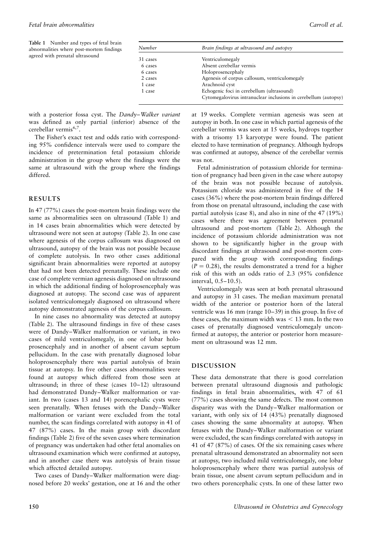Table 1 Number and types of fetal brain abnormalities where post-mortem findings agreed with prenatal ultrasound

with a posterior fossa cyst. The Dandy-Walker variant was defined as only partial (inferior) absence of the cerebellar vermis<sup>6,7</sup>.

The Fisher's exact test and odds ratio with corresponding 95% confidence intervals were used to compare the incidence of pretermination fetal potassium chloride administration in the group where the findings were the same at ultrasound with the group where the findings differed.

## **RESULTS**

In 47  $(77%)$  cases the post-mortem brain findings were the same as abnormalities seen on ultrasound (Table 1) and in 14 cases brain abnormalities which were detected by ultrasound were not seen at autopsy (Table 2). In one case where agenesis of the corpus callosum was diagnosed on ultrasound, autopsy of the brain was not possible because of complete autolysis. In two other cases additional significant brain abnormalities were reported at autopsy that had not been detected prenatally. These include one case of complete vermian agenesis diagnosed on ultrasound in which the additional finding of holoprosencephaly was diagnosed at autopsy. The second case was of apparent isolated ventriculomegaly diagnosed on ultrasound where autopsy demonstrated agenesis of the corpus callosum.

In nine cases no abnormality was detected at autopsy (Table 2). The ultrasound findings in five of these cases were of Dandy-Walker malformation or variant, in two cases of mild ventriculomegaly, in one of lobar holoprosencephaly and in another of absent cavum septum pellucidum. In the case with prenatally diagnosed lobar holoprosencephaly there was partial autolysis of brain tissue at autopsy. In five other cases abnormalities were found at autopsy which differed from those seen at ultrasound; in three of these (cases 10-12) ultrasound had demonstrated Dandy-Walker malformation or variant. In two (cases 13 and 14) porencephalic cysts were seen prenatally. When fetuses with the Dandy-Walker malformation or variant were excluded from the total number, the scan findings correlated with autopsy in 41 of 47 (87%) cases. In the main group with discordant findings (Table 2) five of the seven cases where termination of pregnancy was undertaken had other fetal anomalies on ultrasound examination which were confirmed at autopsy, and in another case there was autolysis of brain tissue which affected detailed autopsy.

Two cases of Dandy-Walker malformation were diagnosed before 20 weeks' gestation, one at 16 and the other at 19 weeks. Complete vermian agenesis was seen at autopsy in both. In one case in which partial agenesis of the cerebellar vermis was seen at 15 weeks, hydrops together with a trisomy 13 karyotype were found. The patient elected to have termination of pregnancy. Although hydrops was confirmed at autopsy, absence of the cerebellar vermis was not

Fetal administration of potassium chloride for termination of pregnancy had been given in the case where autopsy of the brain was not possible because of autolysis. Potassium chloride was administered in five of the 14 cases (36%) where the post-mortem brain findings differed from those on prenatal ultrasound, including the case with partial autolysis (case 8), and also in nine of the 47 (19%) cases where there was agreement between prenatal ultrasound and post-mortem (Table 2). Although the incidence of potassium chloride administration was not shown to be significantly higher in the group with discordant findings at ultrasound and post-mortem compared with the group with corresponding findings  $(P = 0.28)$ , the results demonstrated a trend for a higher risk of this with an odds ratio of 2.3 (95% confidence interval, 0.5-10.5).

Ventriculomegaly was seen at both prenatal ultrasound and autopsy in 31 cases. The median maximum prenatal width of the anterior or posterior horn of the lateral ventricle was 16 mm (range  $10-39$ ) in this group. In five of these cases, the maximum width was  $<$  13 mm. In the two cases of prenatally diagnosed ventriculomegaly unconfirmed at autopsy, the anterior or posterior horn measurement on ultrasound was 12 mm.

#### **DISCUSSION**

These data demonstrate that there is good correlation between prenatal ultrasound diagnosis and pathologic findings in fetal brain abnormalities, with 47 of 61 (77%) cases showing the same defects. The most common disparity was with the Dandy-Walker malformation or variant, with only six of 14 (43%) prenatally diagnosed cases showing the same abnormality at autopsy. When fetuses with the Dandy-Walker malformation or variant were excluded, the scan findings correlated with autopsy in 41 of 47 (87%) of cases. Of the six remaining cases where prenatal ultrasound demonstrated an abnormality not seen at autopsy, two included mild ventriculomegaly, one lobar holoprosencephaly where there was partial autolysis of brain tissue, one absent cavum septum pellucidum and in two others porencephalic cysts. In one of these latter two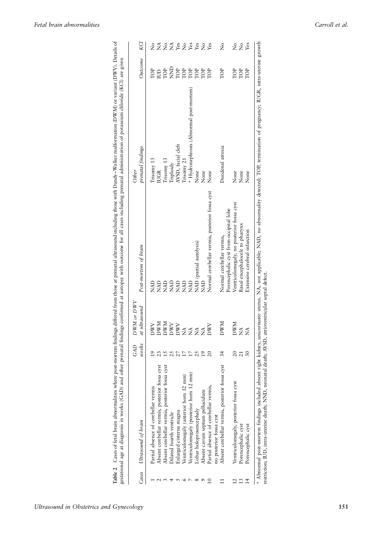|                |                                                | GAD             | or $DWV$<br><b>DWM</b> |                                                | Other                                   |            |                                                                                                                                                                                                                                                                                                                                             |
|----------------|------------------------------------------------|-----------------|------------------------|------------------------------------------------|-----------------------------------------|------------|---------------------------------------------------------------------------------------------------------------------------------------------------------------------------------------------------------------------------------------------------------------------------------------------------------------------------------------------|
| Cases          | Ultrasound of brain                            | weeks           | at ultrasound          | Post-mortem of brain                           | prenatal findings                       | Outcome    | KCI                                                                                                                                                                                                                                                                                                                                         |
|                | Partial absence of cerebellar vermis           | 19              | <b>DWV</b>             | <b>QVN</b>                                     | Trisomy 13                              | <b>POP</b> | ż                                                                                                                                                                                                                                                                                                                                           |
|                | Absent cerebellar vermis, posterior fossa cyst | 23              | <b>NWN</b>             | <b>AD</b>                                      | <b>IUGR</b>                             | <b>CD</b>  |                                                                                                                                                                                                                                                                                                                                             |
|                | Absent cerebellar vermis, posterior fossa cyst | $\overline{15}$ | <b>NWN</b>             | <b>Q</b>                                       | Trisomy 13                              | TOP        | $\widetilde{z}$ $\widetilde{z}$                                                                                                                                                                                                                                                                                                             |
|                | Dilated fourth ventricle                       | 25              | <b>DWV</b>             | <b>Q</b><br>NAD                                | Triploidy                               |            |                                                                                                                                                                                                                                                                                                                                             |
|                | Enlarged cisterna magna                        | 27              | <b>DWV</b>             | <b>Q</b>                                       | AVSD, facial cleft                      |            |                                                                                                                                                                                                                                                                                                                                             |
|                | Ventriculomegaly (anterior horn 12 mm)         | 17              | $\tilde{\Sigma}$       | <b>Q</b><br>NAD                                | Trisomy 21                              |            |                                                                                                                                                                                                                                                                                                                                             |
|                | Ventriculomegaly (posterior horn 12 mm)        | 17              | $\tilde{\mathbf{z}}$   | <b>QAD</b>                                     | * Hydronephrosis (Abnormal post-mortem) |            | $\sum_{i=1}^{n} \sum_{i=1}^{n} \sum_{i=1}^{n} \sum_{i=1}^{n} \sum_{i=1}^{n} \sum_{i=1}^{n} \sum_{i=1}^{n} \sum_{i=1}^{n} \sum_{i=1}^{n} \sum_{i=1}^{n} \sum_{i=1}^{n} \sum_{i=1}^{n} \sum_{i=1}^{n} \sum_{i=1}^{n} \sum_{i=1}^{n} \sum_{i=1}^{n} \sum_{i=1}^{n} \sum_{i=1}^{n} \sum_{i=1}^{n} \sum_{i=1}^{n} \sum_{i=1}^{n} \sum_{i=1}^{n}$ |
|                | Lobar holoprosencephaly                        | 25              | $\tilde{\Sigma}$       | NAD (partial autolysis)                        | None                                    |            |                                                                                                                                                                                                                                                                                                                                             |
|                | Absent cavum septum pellucidum                 | $\overline{19}$ | Ź                      | QAN                                            | None                                    | TOP        | $\stackrel{\circ}{\mathbf{Z}}$                                                                                                                                                                                                                                                                                                              |
|                | Partial absence of cerebellar vermis,          | $\overline{20}$ | <b>DWV</b>             | Normal cerebellar vermis, posterior fossa cyst | None                                    | TOP        | $Y$ es                                                                                                                                                                                                                                                                                                                                      |
|                | no posterior fossa cyst                        |                 |                        |                                                |                                         |            |                                                                                                                                                                                                                                                                                                                                             |
|                | Absent cerebellar vermis, posterior fossa cyst | 34              | NWN                    | Normal cerebellar vermis,                      | Duodenal atresia                        | TOP        | $\tilde{z}$                                                                                                                                                                                                                                                                                                                                 |
|                |                                                |                 |                        | Porencephalic cyst from occipital lobe         |                                         |            |                                                                                                                                                                                                                                                                                                                                             |
| $\overline{c}$ | Ventriculomegaly, posterior fossa cyst         | $\overline{c}$  | <b>DWM</b>             | Ventriculomegaly, no posterior tossa cyst      | None                                    | TOP        |                                                                                                                                                                                                                                                                                                                                             |
| $\mathfrak{1}$ | Porencephalic cyst                             | $\frac{21}{30}$ | Ź                      | Basal encephalocele to pharynx                 | None                                    | TOP        | 2 2 ន <u>័</u>                                                                                                                                                                                                                                                                                                                              |
| $\overline{1}$ | Porencephalic cyst                             |                 | $\mathbb{E}$           | Extensive cerebral infarction                  | None                                    | TOP        |                                                                                                                                                                                                                                                                                                                                             |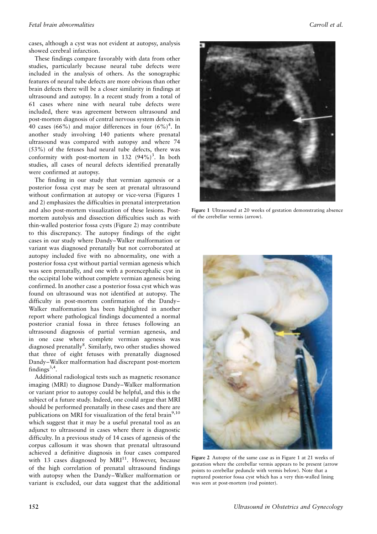cases, although a cyst was not evident at autopsy, analysis showed cerebral infarction.

These findings compare favorably with data from other studies, particularly because neural tube defects were included in the analysis of others. As the sonographic features of neural tube defects are more obvious than other brain defects there will be a closer similarity in findings at ultrasound and autopsy. In a recent study from a total of 61 cases where nine with neural tube defects were included, there was agreement between ultrasound and post-mortem diagnosis of central nervous system defects in 40 cases (66%) and major differences in four  $(6\%)^4$ . In another study involving 140 patients where prenatal ultrasound was compared with autopsy and where 74 (53%) of the fetuses had neural tube defects, there was conformity with post-mortem in 132  $(94\%)^3$ . In both studies, all cases of neural defects identified prenatally were confirmed at autopsy.

The finding in our study that vermian agenesis or a posterior fossa cyst may be seen at prenatal ultrasound without confirmation at autopsy or vice-versa (Figures 1) and 2) emphasizes the difficulties in prenatal interpretation and also post-mortem visualization of these lesions. Postmortem autolysis and dissection difficulties such as with thin-walled posterior fossa cysts (Figure 2) may contribute to this discrepancy. The autopsy findings of the eight cases in our study where Dandy-Walker malformation or variant was diagnosed prenatally but not corroborated at autopsy included five with no abnormality, one with a posterior fossa cyst without partial vermian agenesis which was seen prenatally, and one with a porencephalic cyst in the occipital lobe without complete vermian agenesis being confirmed. In another case a posterior fossa cyst which was found on ultrasound was not identified at autopsy. The difficulty in post-mortem confirmation of the Dandy-Walker malformation has been highlighted in another report where pathological findings documented a normal posterior cranial fossa in three fetuses following an ultrasound diagnosis of partial vermian agenesis, and in one case where complete vermian agenesis was diagnosed prenatally<sup>8</sup>. Similarly, two other studies showed that three of eight fetuses with prenatally diagnosed Dandy-Walker malformation had discrepant post-mortem findings<sup>3,4</sup>.

Additional radiological tests such as magnetic resonance imaging (MRI) to diagnose Dandy-Walker malformation or variant prior to autopsy could be helpful, and this is the subject of a future study. Indeed, one could argue that MRI should be performed prenatally in these cases and there are publications on MRI for visualization of the fetal brain<sup>9,10</sup> which suggest that it may be a useful prenatal tool as an adjunct to ultrasound in cases where there is diagnostic difficulty. In a previous study of 14 cases of agenesis of the corpus callosum it was shown that prenatal ultrasound achieved a definitive diagnosis in four cases compared with 13 cases diagnosed by MRI<sup>11</sup>. However, because of the high correlation of prenatal ultrasound findings with autopsy when the Dandy-Walker malformation or variant is excluded, our data suggest that the additional



Figure 1 Ultrasound at 20 weeks of gestation demonstrating absence of the cerebellar vermis (arrow).



Figure 2 Autopsy of the same case as in Figure 1 at 21 weeks of gestation where the cerebellar vermis appears to be present (arrow points to cerebellar peduncle with vermis below). Note that a ruptured posterior fossa cyst which has a very thin-walled lining was seen at post-mortem (rod pointer).